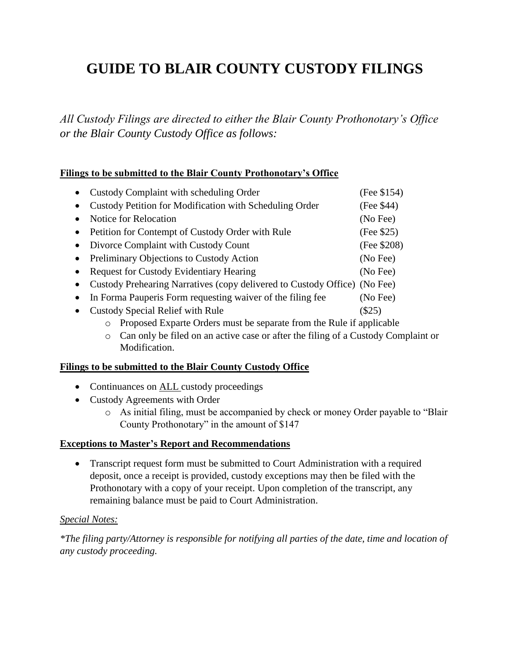## **GUIDE TO BLAIR COUNTY CUSTODY FILINGS**

*All Custody Filings are directed to either the Blair County Prothonotary's Office or the Blair County Custody Office as follows:*

## **Filings to be submitted to the Blair County Prothonotary's Office**

|           | Custody Complaint with scheduling Order                                   | (Fee \$154) |
|-----------|---------------------------------------------------------------------------|-------------|
|           | Custody Petition for Modification with Scheduling Order                   | (Fee \$44)  |
|           | <b>Notice for Relocation</b>                                              | (No Fee)    |
|           | Petition for Contempt of Custody Order with Rule                          | (Fee \$25)  |
|           | Divorce Complaint with Custody Count                                      | (Fee \$208) |
| $\bullet$ | Preliminary Objections to Custody Action                                  | (No Fee)    |
|           | <b>Request for Custody Evidentiary Hearing</b>                            | (No Fee)    |
|           | Custody Prehearing Narratives (copy delivered to Custody Office) (No Fee) |             |
|           | In Forma Pauperis Form requesting waiver of the filing fee                | (No Fee)    |
|           | <b>Custody Special Relief with Rule</b>                                   | (\$25)      |

- o Proposed Exparte Orders must be separate from the Rule if applicable
- o Can only be filed on an active case or after the filing of a Custody Complaint or Modification.

#### **Filings to be submitted to the Blair County Custody Office**

- Continuances on **ALL** custody proceedings
- Custody Agreements with Order
	- o As initial filing, must be accompanied by check or money Order payable to "Blair County Prothonotary" in the amount of \$147

#### **Exceptions to Master's Report and Recommendations**

 Transcript request form must be submitted to Court Administration with a required deposit, once a receipt is provided, custody exceptions may then be filed with the Prothonotary with a copy of your receipt. Upon completion of the transcript, any remaining balance must be paid to Court Administration.

## *Special Notes:*

*\*The filing party/Attorney is responsible for notifying all parties of the date, time and location of any custody proceeding.*